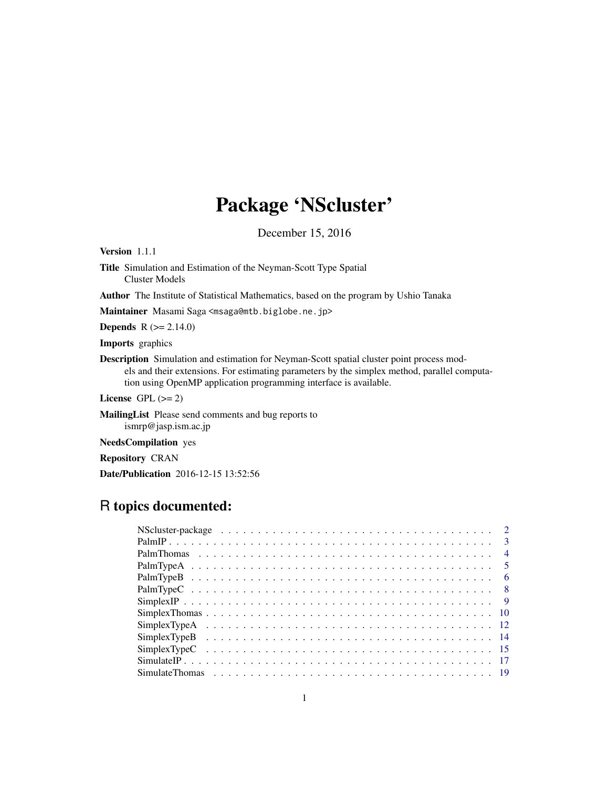# Package 'NScluster'

December 15, 2016

Version 1.1.1

Title Simulation and Estimation of the Neyman-Scott Type Spatial Cluster Models

Author The Institute of Statistical Mathematics, based on the program by Ushio Tanaka

Maintainer Masami Saga <msaga@mtb.biglobe.ne.jp>

**Depends** R  $(>= 2.14.0)$ 

Imports graphics

Description Simulation and estimation for Neyman-Scott spatial cluster point process models and their extensions. For estimating parameters by the simplex method, parallel computation using OpenMP application programming interface is available.

License GPL  $(>= 2)$ 

MailingList Please send comments and bug reports to ismrp@jasp.ism.ac.jp

NeedsCompilation yes

Repository CRAN

Date/Publication 2016-12-15 13:52:56

# R topics documented: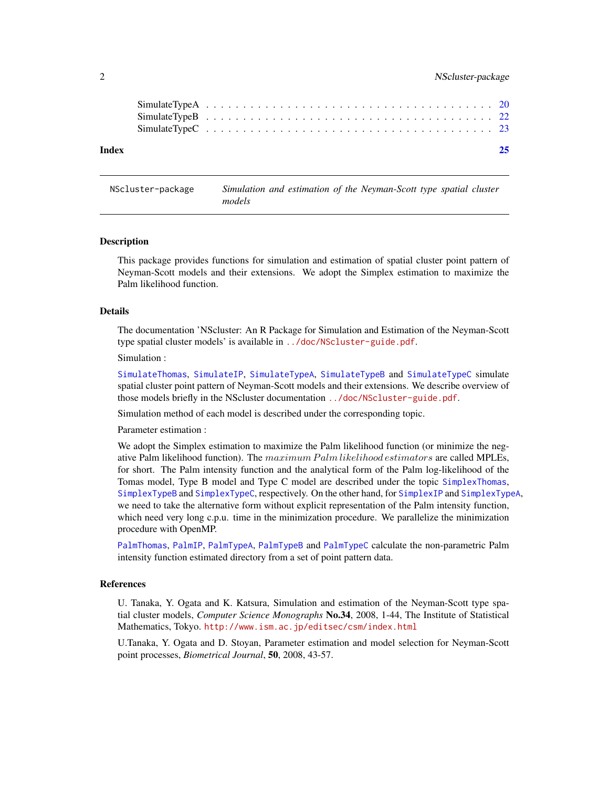<span id="page-1-0"></span>

| Index |  |  |  |  |  |  |  |  |  |  |  |  |  |  |  |  |  |  |  |
|-------|--|--|--|--|--|--|--|--|--|--|--|--|--|--|--|--|--|--|--|
|       |  |  |  |  |  |  |  |  |  |  |  |  |  |  |  |  |  |  |  |
|       |  |  |  |  |  |  |  |  |  |  |  |  |  |  |  |  |  |  |  |

NScluster-package *Simulation and estimation of the Neyman-Scott type spatial cluster models*

#### Description

This package provides functions for simulation and estimation of spatial cluster point pattern of Neyman-Scott models and their extensions. We adopt the Simplex estimation to maximize the Palm likelihood function.

# Details

The documentation 'NScluster: An R Package for Simulation and Estimation of the Neyman-Scott type spatial cluster models' is available in <../doc/NScluster-guide.pdf>.

Simulation :

[SimulateThomas](#page-18-1), [SimulateIP](#page-16-1), [SimulateTypeA](#page-19-1), [SimulateTypeB](#page-21-1) and [SimulateTypeC](#page-22-1) simulate spatial cluster point pattern of Neyman-Scott models and their extensions. We describe overview of those models briefly in the NScluster documentation <../doc/NScluster-guide.pdf>.

Simulation method of each model is described under the corresponding topic.

Parameter estimation :

We adopt the Simplex estimation to maximize the Palm likelihood function (or minimize the negative Palm likelihood function). The maximum Palm likelihood estimators are called MPLEs, for short. The Palm intensity function and the analytical form of the Palm log-likelihood of the Tomas model, Type B model and Type C model are described under the topic [SimplexThomas](#page-9-1), [SimplexTypeB](#page-13-1) and [SimplexTypeC](#page-14-1), respectively. On the other hand, for [SimplexIP](#page-8-1) and [SimplexTypeA](#page-11-1), we need to take the alternative form without explicit representation of the Palm intensity function, which need very long c.p.u. time in the minimization procedure. We parallelize the minimization procedure with OpenMP.

[PalmThomas](#page-3-1), [PalmIP](#page-2-1), [PalmTypeA](#page-4-1), [PalmTypeB](#page-5-1) and [PalmTypeC](#page-7-1) calculate the non-parametric Palm intensity function estimated directory from a set of point pattern data.

#### References

U. Tanaka, Y. Ogata and K. Katsura, Simulation and estimation of the Neyman-Scott type spatial cluster models, *Computer Science Monographs* No.34, 2008, 1-44, The Institute of Statistical Mathematics, Tokyo. <http://www.ism.ac.jp/editsec/csm/index.html>

U.Tanaka, Y. Ogata and D. Stoyan, Parameter estimation and model selection for Neyman-Scott point processes, *Biometrical Journal*, 50, 2008, 43-57.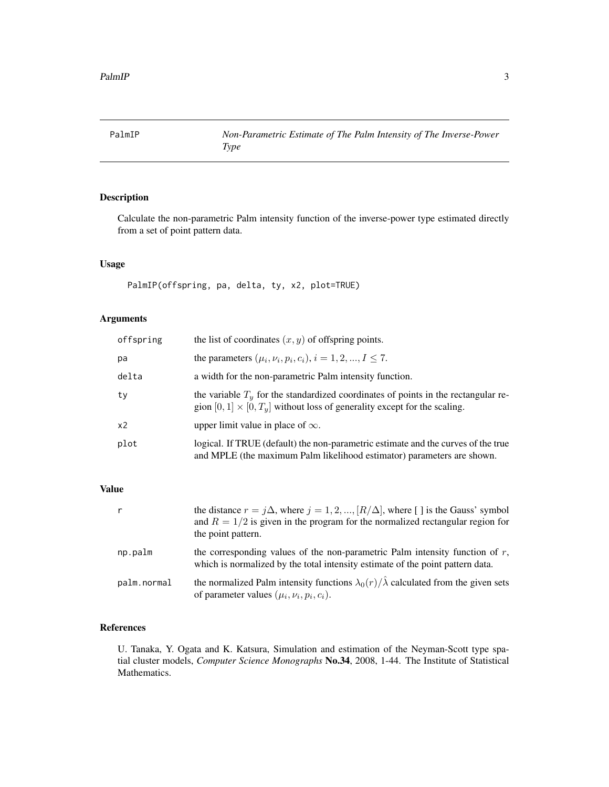<span id="page-2-1"></span><span id="page-2-0"></span>

# Description

Calculate the non-parametric Palm intensity function of the inverse-power type estimated directly from a set of point pattern data.

# Usage

PalmIP(offspring, pa, delta, ty, x2, plot=TRUE)

# Arguments

| offspring | the list of coordinates $(x, y)$ of offspring points.                                                                                                                   |
|-----------|-------------------------------------------------------------------------------------------------------------------------------------------------------------------------|
| pa        | the parameters $(\mu_i, \nu_i, p_i, c_i), i = 1, 2, , I \le 7$ .                                                                                                        |
| delta     | a width for the non-parametric Palm intensity function.                                                                                                                 |
| ty        | the variable $Ty$ for the standardized coordinates of points in the rectangular re-<br>gion $[0, 1] \times [0, T_y]$ without loss of generality except for the scaling. |
| x2        | upper limit value in place of $\infty$ .                                                                                                                                |
| plot      | logical. If TRUE (default) the non-parametric estimate and the curves of the true<br>and MPLE (the maximum Palm likelihood estimator) parameters are shown.             |

#### Value

| $\mathsf{r}$ | the distance $r = j\Delta$ , where $j = 1, 2, , [R/\Delta]$ , where [] is the Gauss' symbol<br>and $R = 1/2$ is given in the program for the normalized rectangular region for<br>the point pattern. |
|--------------|------------------------------------------------------------------------------------------------------------------------------------------------------------------------------------------------------|
| np.palm      | the corresponding values of the non-parametric Palm intensity function of $r$ ,<br>which is normalized by the total intensity estimate of the point pattern data.                                    |
| palm.normal  | the normalized Palm intensity functions $\lambda_0(r)/\hat{\lambda}$ calculated from the given sets<br>of parameter values $(\mu_i, \nu_i, p_i, c_i)$ .                                              |

# References

U. Tanaka, Y. Ogata and K. Katsura, Simulation and estimation of the Neyman-Scott type spatial cluster models, *Computer Science Monographs* No.34, 2008, 1-44. The Institute of Statistical Mathematics.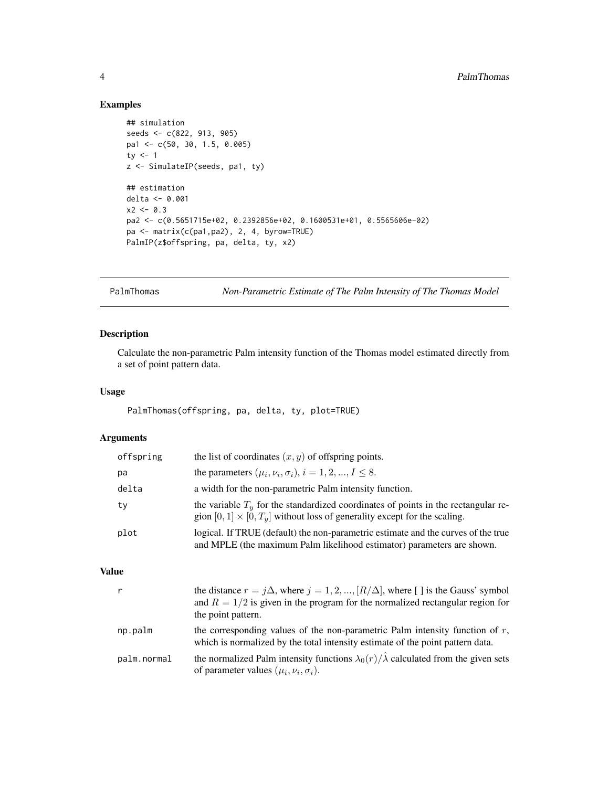# Examples

```
## simulation
seeds <- c(822, 913, 905)
pa1 <- c(50, 30, 1.5, 0.005)
ty <-1z <- SimulateIP(seeds, pa1, ty)
## estimation
delta <- 0.001
x2 < -0.3pa2 <- c(0.5651715e+02, 0.2392856e+02, 0.1600531e+01, 0.5565606e-02)
pa <- matrix(c(pa1,pa2), 2, 4, byrow=TRUE)
PalmIP(z$offspring, pa, delta, ty, x2)
```
<span id="page-3-1"></span>PalmThomas *Non-Parametric Estimate of The Palm Intensity of The Thomas Model*

# Description

Calculate the non-parametric Palm intensity function of the Thomas model estimated directly from a set of point pattern data.

#### Usage

PalmThomas(offspring, pa, delta, ty, plot=TRUE)

# Arguments

| offspring | the list of coordinates $(x, y)$ of offspring points.                                                                                                                   |
|-----------|-------------------------------------------------------------------------------------------------------------------------------------------------------------------------|
| pa        | the parameters $(\mu_i, \nu_i, \sigma_i), i = 1, 2, , I \leq 8$ .                                                                                                       |
| delta     | a width for the non-parametric Palm intensity function.                                                                                                                 |
| ty        | the variable $Ty$ for the standardized coordinates of points in the rectangular re-<br>gion $[0, 1] \times [0, T_u]$ without loss of generality except for the scaling. |
| plot      | logical. If TRUE (default) the non-parametric estimate and the curves of the true<br>and MPLE (the maximum Palm likelihood estimator) parameters are shown.             |

#### Value

|             | the distance $r = j\Delta$ , where $j = 1, 2, , [R/\Delta]$ , where [] is the Gauss' symbol<br>and $R = 1/2$ is given in the program for the normalized rectangular region for<br>the point pattern. |
|-------------|------------------------------------------------------------------------------------------------------------------------------------------------------------------------------------------------------|
| np.palm     | the corresponding values of the non-parametric Palm intensity function of $r$ ,<br>which is normalized by the total intensity estimate of the point pattern data.                                    |
| palm.normal | the normalized Palm intensity functions $\lambda_0(r)/\hat{\lambda}$ calculated from the given sets<br>of parameter values $(\mu_i, \nu_i, \sigma_i)$ .                                              |

<span id="page-3-0"></span>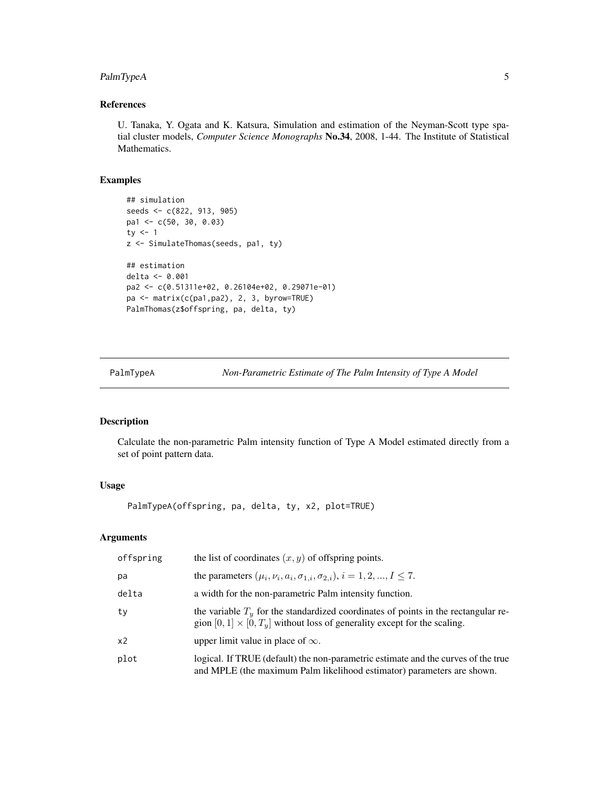# <span id="page-4-0"></span>PalmTypeA 5

# References

U. Tanaka, Y. Ogata and K. Katsura, Simulation and estimation of the Neyman-Scott type spatial cluster models, *Computer Science Monographs* No.34, 2008, 1-44. The Institute of Statistical Mathematics.

# Examples

```
## simulation
seeds <- c(822, 913, 905)
pa1 <- c(50, 30, 0.03)
ty <-1z <- SimulateThomas(seeds, pa1, ty)
## estimation
delta <- 0.001
pa2 <- c(0.51311e+02, 0.26104e+02, 0.29071e-01)
pa <- matrix(c(pa1,pa2), 2, 3, byrow=TRUE)
PalmThomas(z$offspring, pa, delta, ty)
```
<span id="page-4-1"></span>PalmTypeA *Non-Parametric Estimate of The Palm Intensity of Type A Model*

# Description

Calculate the non-parametric Palm intensity function of Type A Model estimated directly from a set of point pattern data.

# Usage

PalmTypeA(offspring, pa, delta, ty, x2, plot=TRUE)

#### Arguments

| offspring      | the list of coordinates $(x, y)$ of offspring points.                                                                                                                   |
|----------------|-------------------------------------------------------------------------------------------------------------------------------------------------------------------------|
| pa             | the parameters $(\mu_i, \nu_i, a_i, \sigma_{1,i}, \sigma_{2,i}), i = 1, 2, , I \leq 7$ .                                                                                |
| delta          | a width for the non-parametric Palm intensity function.                                                                                                                 |
| ty             | the variable $Ty$ for the standardized coordinates of points in the rectangular re-<br>gion $[0, 1] \times [0, T_u]$ without loss of generality except for the scaling. |
| x <sub>2</sub> | upper limit value in place of $\infty$ .                                                                                                                                |
| plot           | logical. If TRUE (default) the non-parametric estimate and the curves of the true<br>and MPLE (the maximum Palm likelihood estimator) parameters are shown.             |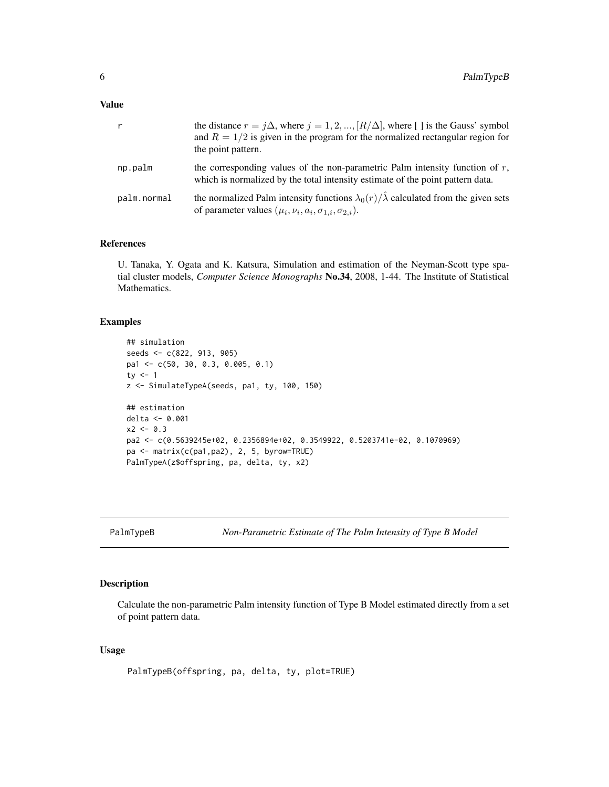<span id="page-5-0"></span>

| $\mathsf{r}$ | the distance $r = j\Delta$ , where $j = 1, 2, , [R/\Delta]$ , where [] is the Gauss' symbol<br>and $R = 1/2$ is given in the program for the normalized rectangular region for<br>the point pattern. |
|--------------|------------------------------------------------------------------------------------------------------------------------------------------------------------------------------------------------------|
| np.palm      | the corresponding values of the non-parametric Palm intensity function of $r$ ,<br>which is normalized by the total intensity estimate of the point pattern data.                                    |
| palm.normal  | the normalized Palm intensity functions $\lambda_0(r)/\hat{\lambda}$ calculated from the given sets<br>of parameter values $(\mu_i, \nu_i, a_i, \sigma_{1,i}, \sigma_{2,i}).$                        |

#### References

U. Tanaka, Y. Ogata and K. Katsura, Simulation and estimation of the Neyman-Scott type spatial cluster models, *Computer Science Monographs* No.34, 2008, 1-44. The Institute of Statistical Mathematics.

## Examples

```
## simulation
seeds <- c(822, 913, 905)
pa1 <- c(50, 30, 0.3, 0.005, 0.1)
ty <-1z <- SimulateTypeA(seeds, pa1, ty, 100, 150)
## estimation
delta <- 0.001
x2 < -0.3pa2 <- c(0.5639245e+02, 0.2356894e+02, 0.3549922, 0.5203741e-02, 0.1070969)
pa <- matrix(c(pa1,pa2), 2, 5, byrow=TRUE)
PalmTypeA(z$offspring, pa, delta, ty, x2)
```
<span id="page-5-1"></span>PalmTypeB *Non-Parametric Estimate of The Palm Intensity of Type B Model*

#### Description

Calculate the non-parametric Palm intensity function of Type B Model estimated directly from a set of point pattern data.

# Usage

PalmTypeB(offspring, pa, delta, ty, plot=TRUE)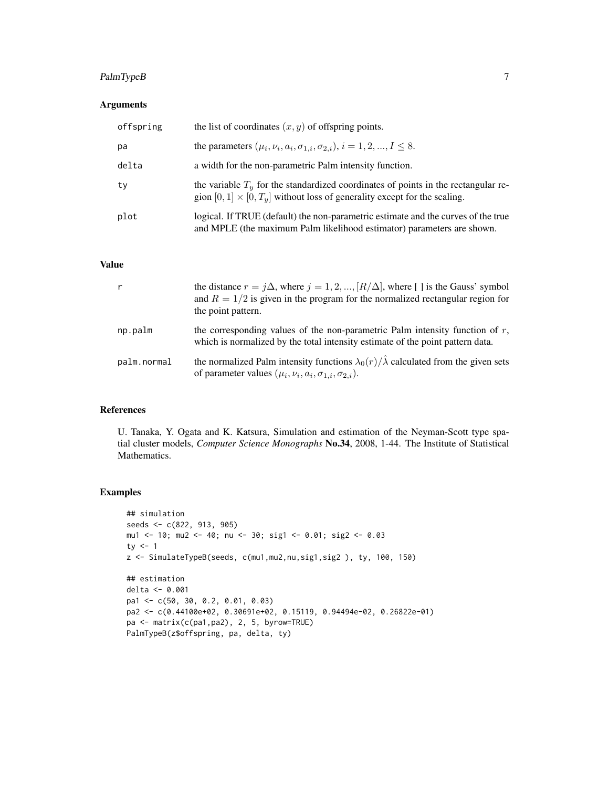# PalmTypeB 7

# Arguments

| offspring | the list of coordinates $(x, y)$ of offspring points.                                                                                                                   |
|-----------|-------------------------------------------------------------------------------------------------------------------------------------------------------------------------|
| pa        | the parameters $(\mu_i, \nu_i, a_i, \sigma_{1,i}, \sigma_{2,i}), i = 1, 2, , I \le 8$ .                                                                                 |
| delta     | a width for the non-parametric Palm intensity function.                                                                                                                 |
| ty        | the variable $Ty$ for the standardized coordinates of points in the rectangular re-<br>gion $[0, 1] \times [0, T_u]$ without loss of generality except for the scaling. |
| plot      | logical. If TRUE (default) the non-parametric estimate and the curves of the true<br>and MPLE (the maximum Palm likelihood estimator) parameters are shown.             |

#### Value

| r           | the distance $r = j\Delta$ , where $j = 1, 2, , [R/\Delta]$ , where [] is the Gauss' symbol<br>and $R = 1/2$ is given in the program for the normalized rectangular region for<br>the point pattern. |
|-------------|------------------------------------------------------------------------------------------------------------------------------------------------------------------------------------------------------|
| np.palm     | the corresponding values of the non-parametric Palm intensity function of $r$ ,<br>which is normalized by the total intensity estimate of the point pattern data.                                    |
| palm.normal | the normalized Palm intensity functions $\lambda_0(r)/\hat{\lambda}$ calculated from the given sets<br>of parameter values $(\mu_i, \nu_i, a_i, \sigma_{1,i}, \sigma_{2,i}).$                        |

# References

U. Tanaka, Y. Ogata and K. Katsura, Simulation and estimation of the Neyman-Scott type spatial cluster models, *Computer Science Monographs* No.34, 2008, 1-44. The Institute of Statistical Mathematics.

# Examples

```
## simulation
seeds <- c(822, 913, 905)
mu1 <- 10; mu2 <- 40; nu <- 30; sig1 <- 0.01; sig2 <- 0.03
ty <- 1
z <- SimulateTypeB(seeds, c(mu1,mu2,nu,sig1,sig2 ), ty, 100, 150)
## estimation
delta <- 0.001
pa1 <- c(50, 30, 0.2, 0.01, 0.03)
pa2 <- c(0.44100e+02, 0.30691e+02, 0.15119, 0.94494e-02, 0.26822e-01)
pa <- matrix(c(pa1,pa2), 2, 5, byrow=TRUE)
PalmTypeB(z$offspring, pa, delta, ty)
```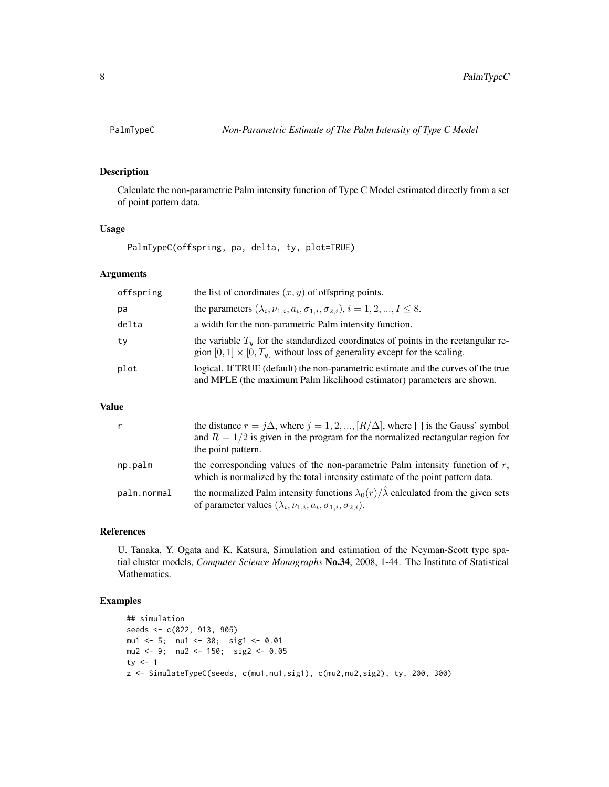<span id="page-7-1"></span><span id="page-7-0"></span>

# Description

Calculate the non-parametric Palm intensity function of Type C Model estimated directly from a set of point pattern data.

# Usage

PalmTypeC(offspring, pa, delta, ty, plot=TRUE)

# Arguments

| offspring | the list of coordinates $(x, y)$ of offspring points.                                                                                                                   |
|-----------|-------------------------------------------------------------------------------------------------------------------------------------------------------------------------|
| pa        | the parameters $(\lambda_i, \nu_{1,i}, a_i, \sigma_{1,i}, \sigma_{2,i}), i = 1, 2, , I \le 8$ .                                                                         |
| delta     | a width for the non-parametric Palm intensity function.                                                                                                                 |
| tv        | the variable $Ty$ for the standardized coordinates of points in the rectangular re-<br>gion $[0, 1] \times [0, T_u]$ without loss of generality except for the scaling. |
| plot      | logical. If TRUE (default) the non-parametric estimate and the curves of the true<br>and MPLE (the maximum Palm likelihood estimator) parameters are shown.             |

## Value

|             | the distance $r = j\Delta$ , where $j = 1, 2, , [R/\Delta]$ , where [] is the Gauss' symbol<br>and $R = 1/2$ is given in the program for the normalized rectangular region for<br>the point pattern. |
|-------------|------------------------------------------------------------------------------------------------------------------------------------------------------------------------------------------------------|
| np.palm     | the corresponding values of the non-parametric Palm intensity function of $r$ ,<br>which is normalized by the total intensity estimate of the point pattern data.                                    |
| palm.normal | the normalized Palm intensity functions $\lambda_0(r)/\hat{\lambda}$ calculated from the given sets<br>of parameter values $(\lambda_i, \nu_{1,i}, a_i, \sigma_{1,i}, \sigma_{2,i}).$                |

# References

U. Tanaka, Y. Ogata and K. Katsura, Simulation and estimation of the Neyman-Scott type spatial cluster models, *Computer Science Monographs* No.34, 2008, 1-44. The Institute of Statistical Mathematics.

#### Examples

```
## simulation
seeds <- c(822, 913, 905)
mu1 <- 5; nu1 <- 30; sig1 <- 0.01
mu2 <- 9; nu2 <- 150; sig2 <- 0.05
ty <-1z <- SimulateTypeC(seeds, c(mu1,nu1,sig1), c(mu2,nu2,sig2), ty, 200, 300)
```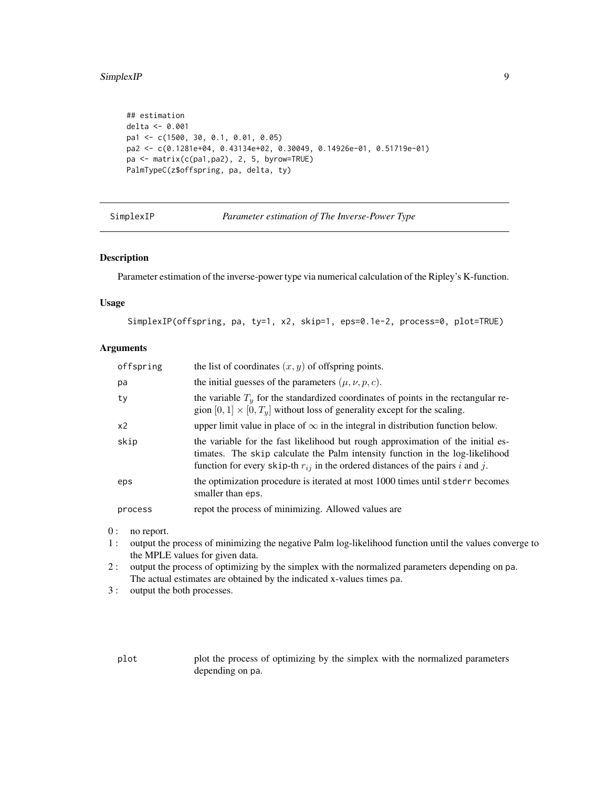#### <span id="page-8-0"></span>SimplexIP 99

```
## estimation
delta <- 0.001
pa1 <- c(1500, 30, 0.1, 0.01, 0.05)
pa2 <- c(0.1281e+04, 0.43134e+02, 0.30049, 0.14926e-01, 0.51719e-01)
pa <- matrix(c(pa1,pa2), 2, 5, byrow=TRUE)
PalmTypeC(z$offspring, pa, delta, ty)
```
<span id="page-8-1"></span>SimplexIP *Parameter estimation of The Inverse-Power Type*

# Description

Parameter estimation of the inverse-power type via numerical calculation of the Ripley's K-function.

## Usage

SimplexIP(offspring, pa, ty=1, x2, skip=1, eps=0.1e-2, process=0, plot=TRUE)

#### Arguments

| offspring | the list of coordinates $(x, y)$ of offspring points.                                                                                                                                                                                                  |
|-----------|--------------------------------------------------------------------------------------------------------------------------------------------------------------------------------------------------------------------------------------------------------|
| pa        | the initial guesses of the parameters $(\mu, \nu, p, c)$ .                                                                                                                                                                                             |
| ty        | the variable $T_u$ for the standardized coordinates of points in the rectangular re-<br>gion $[0, 1] \times [0, Ty]$ without loss of generality except for the scaling.                                                                                |
| x2        | upper limit value in place of $\infty$ in the integral in distribution function below.                                                                                                                                                                 |
| skip      | the variable for the fast likelihood but rough approximation of the initial es-<br>timates. The skip calculate the Palm intensity function in the log-likelihood<br>function for every skip-th $r_{ij}$ in the ordered distances of the pairs i and j. |
| eps       | the optimization procedure is iterated at most 1000 times until stder r becomes<br>smaller than eps.                                                                                                                                                   |
| process   | repot the process of minimizing. Allowed values are                                                                                                                                                                                                    |

0 : no report.

- 1 : output the process of minimizing the negative Palm log-likelihood function until the values converge to the MPLE values for given data.
- 2 : output the process of optimizing by the simplex with the normalized parameters depending on pa. The actual estimates are obtained by the indicated x-values times pa.
- 3 : output the both processes.

plot plot the process of optimizing by the simplex with the normalized parameters depending on pa.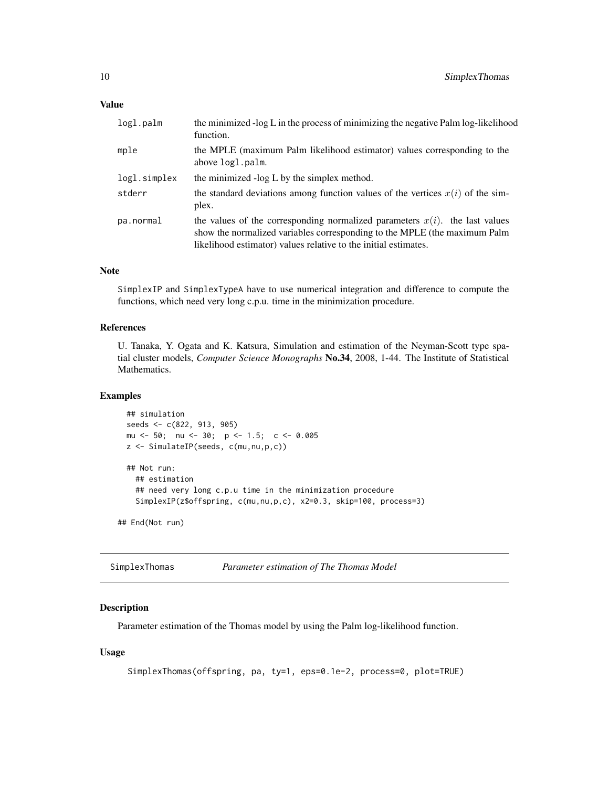<span id="page-9-0"></span>

| the minimized -log L in the process of minimizing the negative Palm log-likelihood<br>function.                                                                                                                                |
|--------------------------------------------------------------------------------------------------------------------------------------------------------------------------------------------------------------------------------|
| the MPLE (maximum Palm likelihood estimator) values corresponding to the<br>above logl.palm.                                                                                                                                   |
| the minimized -log L by the simplex method.                                                                                                                                                                                    |
| the standard deviations among function values of the vertices $x(i)$ of the sim-<br>plex.                                                                                                                                      |
| the values of the corresponding normalized parameters $x(i)$ , the last values<br>show the normalized variables corresponding to the MPLE (the maximum Palm<br>likelihood estimator) values relative to the initial estimates. |
|                                                                                                                                                                                                                                |

# Note

SimplexIP and SimplexTypeA have to use numerical integration and difference to compute the functions, which need very long c.p.u. time in the minimization procedure.

#### References

U. Tanaka, Y. Ogata and K. Katsura, Simulation and estimation of the Neyman-Scott type spatial cluster models, *Computer Science Monographs* No.34, 2008, 1-44. The Institute of Statistical Mathematics.

# Examples

```
## simulation
seeds <- c(822, 913, 905)
mu <- 50; nu <- 30; p <- 1.5; c <- 0.005
z <- SimulateIP(seeds, c(mu,nu,p,c))
## Not run:
  ## estimation
  ## need very long c.p.u time in the minimization procedure
  SimplexIP(z$offspring, c(mu,nu,p,c), x2=0.3, skip=100, process=3)
```
## End(Not run)

<span id="page-9-1"></span>SimplexThomas *Parameter estimation of The Thomas Model*

# Description

Parameter estimation of the Thomas model by using the Palm log-likelihood function.

#### Usage

```
SimplexThomas(offspring, pa, ty=1, eps=0.1e-2, process=0, plot=TRUE)
```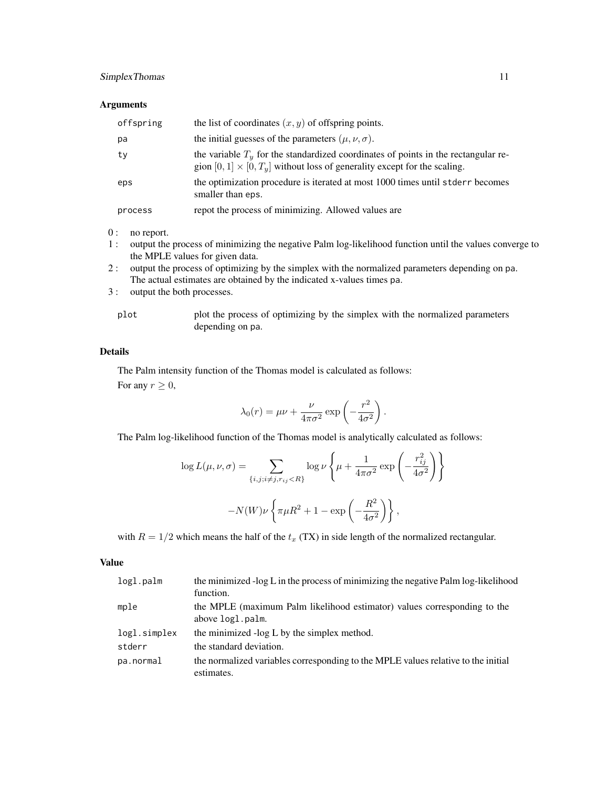# SimplexThomas 11

# Arguments

| offspring | the list of coordinates $(x, y)$ of offspring points.                                                                                                                   |
|-----------|-------------------------------------------------------------------------------------------------------------------------------------------------------------------------|
| pa        | the initial guesses of the parameters $(\mu, \nu, \sigma)$ .                                                                                                            |
| ty        | the variable $Ty$ for the standardized coordinates of points in the rectangular re-<br>gion $[0, 1] \times [0, T_u]$ without loss of generality except for the scaling. |
| eps       | the optimization procedure is iterated at most 1000 times until stderr becomes<br>smaller than eps.                                                                     |
| process   | repot the process of minimizing. Allowed values are                                                                                                                     |

0 : no report.

- 1 : output the process of minimizing the negative Palm log-likelihood function until the values converge to the MPLE values for given data.
- 2 : output the process of optimizing by the simplex with the normalized parameters depending on pa. The actual estimates are obtained by the indicated x-values times pa.
- 3 : output the both processes.

| plot | plot the process of optimizing by the simplex with the normalized parameters |
|------|------------------------------------------------------------------------------|
|      | depending on pa.                                                             |

## Details

The Palm intensity function of the Thomas model is calculated as follows:

For any  $r \geq 0$ ,

$$
\lambda_0(r) = \mu \nu + \frac{\nu}{4\pi\sigma^2} \exp\left(-\frac{r^2}{4\sigma^2}\right).
$$

The Palm log-likelihood function of the Thomas model is analytically calculated as follows:

$$
\log L(\mu, \nu, \sigma) = \sum_{\{i, j; i \neq j, r_{ij} < R\}} \log \nu \left\{ \mu + \frac{1}{4\pi\sigma^2} \exp\left(-\frac{r_{ij}^2}{4\sigma^2}\right) \right\}
$$
\n
$$
-N(W)\nu \left\{ \pi\mu R^2 + 1 - \exp\left(-\frac{R^2}{4\sigma^2}\right) \right\},
$$

with  $R = 1/2$  which means the half of the  $t_x$  (TX) in side length of the normalized rectangular.

#### Value

| logl.palm    | the minimized -log L in the process of minimizing the negative Palm log-likelihood<br>function. |
|--------------|-------------------------------------------------------------------------------------------------|
| mple         | the MPLE (maximum Palm likelihood estimator) values corresponding to the<br>above logl.palm.    |
| logl.simplex | the minimized -log L by the simplex method.                                                     |
| stderr       | the standard deviation.                                                                         |
| pa.normal    | the normalized variables corresponding to the MPLE values relative to the initial<br>estimates. |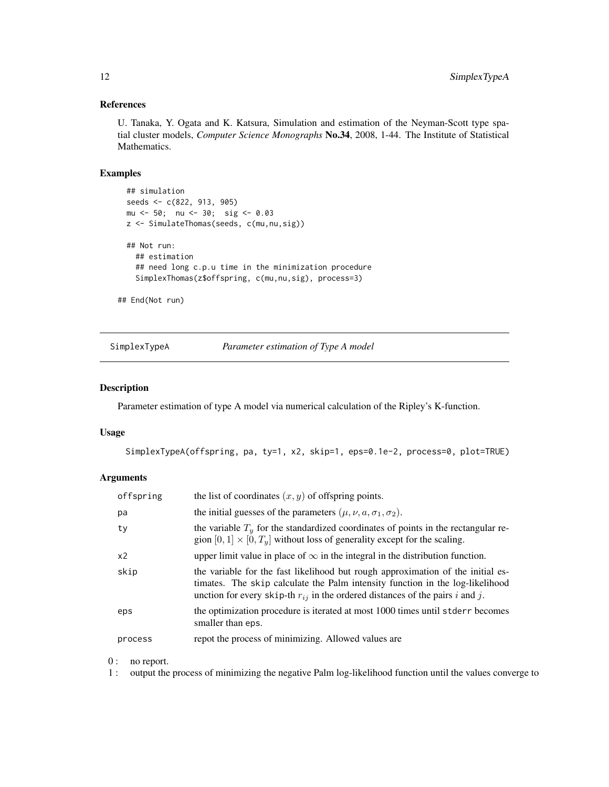# <span id="page-11-0"></span>References

U. Tanaka, Y. Ogata and K. Katsura, Simulation and estimation of the Neyman-Scott type spatial cluster models, *Computer Science Monographs* No.34, 2008, 1-44. The Institute of Statistical Mathematics.

#### Examples

```
## simulation
seeds <- c(822, 913, 905)
mu <- 50; nu <- 30; sig <- 0.03
z <- SimulateThomas(seeds, c(mu,nu,sig))
## Not run:
  ## estimation
  ## need long c.p.u time in the minimization procedure
  SimplexThomas(z$offspring, c(mu,nu,sig), process=3)
```
## End(Not run)

<span id="page-11-1"></span>SimplexTypeA *Parameter estimation of Type A model*

# Description

Parameter estimation of type A model via numerical calculation of the Ripley's K-function.

#### Usage

SimplexTypeA(offspring, pa, ty=1, x2, skip=1, eps=0.1e-2, process=0, plot=TRUE)

#### Arguments

| offspring | the list of coordinates $(x, y)$ of offspring points.                                                                                                                                                                                                 |
|-----------|-------------------------------------------------------------------------------------------------------------------------------------------------------------------------------------------------------------------------------------------------------|
| pa        | the initial guesses of the parameters $(\mu, \nu, a, \sigma_1, \sigma_2)$ .                                                                                                                                                                           |
| ty        | the variable $T_y$ for the standardized coordinates of points in the rectangular re-<br>gion $[0, 1] \times [0, T_u]$ without loss of generality except for the scaling.                                                                              |
| x2        | upper limit value in place of $\infty$ in the integral in the distribution function.                                                                                                                                                                  |
| skip      | the variable for the fast likelihood but rough approximation of the initial es-<br>timates. The skip calculate the Palm intensity function in the log-likelihood<br>unction for every skip-th $r_{ij}$ in the ordered distances of the pairs i and j. |
| eps       | the optimization procedure is iterated at most 1000 times until stder r becomes<br>smaller than eps.                                                                                                                                                  |
| process   | repot the process of minimizing. Allowed values are                                                                                                                                                                                                   |

0 : no report.

1 : output the process of minimizing the negative Palm log-likelihood function until the values converge to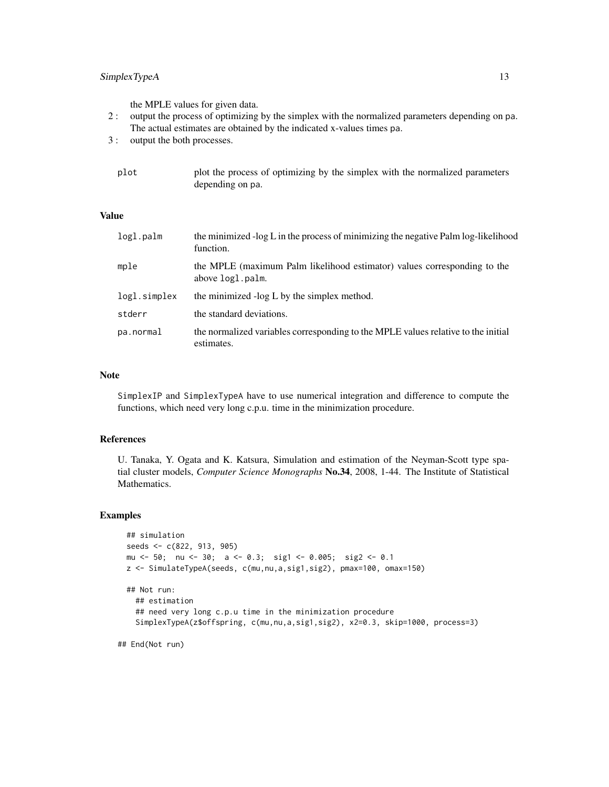# SimplexTypeA 13

the MPLE values for given data.

- 2 : output the process of optimizing by the simplex with the normalized parameters depending on pa. The actual estimates are obtained by the indicated x-values times pa.
- 3 : output the both processes.

| plot | plot the process of optimizing by the simplex with the normalized parameters |
|------|------------------------------------------------------------------------------|
|      | depending on pa.                                                             |

# Value

| logl.palm    | the minimized -log L in the process of minimizing the negative Palm log-likelihood<br>function. |
|--------------|-------------------------------------------------------------------------------------------------|
| mple         | the MPLE (maximum Palm likelihood estimator) values corresponding to the<br>above logl.palm.    |
| logl.simplex | the minimized -log L by the simplex method.                                                     |
| stderr       | the standard deviations.                                                                        |
| pa.normal    | the normalized variables corresponding to the MPLE values relative to the initial<br>estimates. |

## Note

SimplexIP and SimplexTypeA have to use numerical integration and difference to compute the functions, which need very long c.p.u. time in the minimization procedure.

#### References

U. Tanaka, Y. Ogata and K. Katsura, Simulation and estimation of the Neyman-Scott type spatial cluster models, *Computer Science Monographs* No.34, 2008, 1-44. The Institute of Statistical Mathematics.

#### Examples

```
## simulation
seeds <- c(822, 913, 905)
mu <- 50; nu <- 30; a <- 0.3; sig1 <- 0.005; sig2 <- 0.1
z <- SimulateTypeA(seeds, c(mu,nu,a,sig1,sig2), pmax=100, omax=150)
## Not run:
  ## estimation
  ## need very long c.p.u time in the minimization procedure
  SimplexTypeA(z$offspring, c(mu,nu,a,sig1,sig2), x2=0.3, skip=1000, process=3)
```
## End(Not run)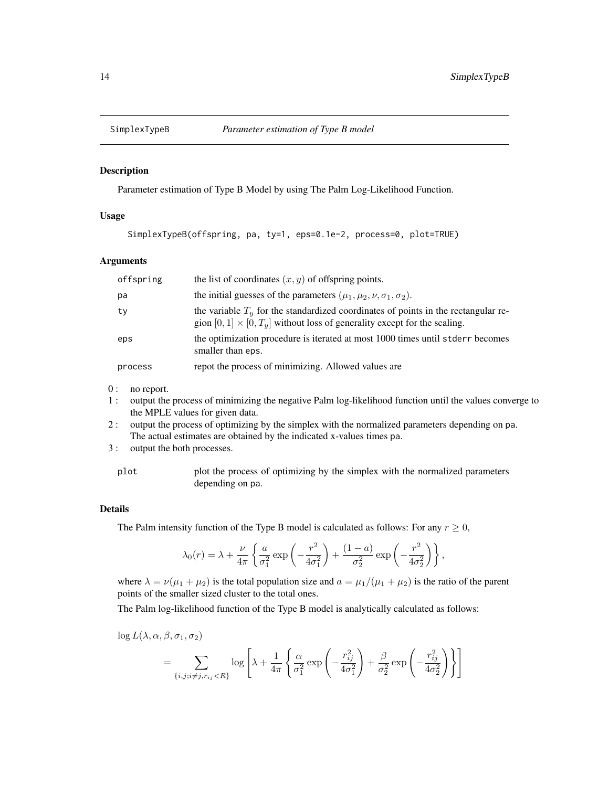<span id="page-13-1"></span><span id="page-13-0"></span>

#### Description

Parameter estimation of Type B Model by using The Palm Log-Likelihood Function.

## Usage

SimplexTypeB(offspring, pa, ty=1, eps=0.1e-2, process=0, plot=TRUE)

#### Arguments

| offspring | the list of coordinates $(x, y)$ of offspring points.                                                                                                                   |
|-----------|-------------------------------------------------------------------------------------------------------------------------------------------------------------------------|
| pa        | the initial guesses of the parameters $(\mu_1, \mu_2, \nu, \sigma_1, \sigma_2)$ .                                                                                       |
| tv        | the variable $Ty$ for the standardized coordinates of points in the rectangular re-<br>gion $[0, 1] \times [0, T_u]$ without loss of generality except for the scaling. |
| eps       | the optimization procedure is iterated at most 1000 times until stderr becomes<br>smaller than eps.                                                                     |
| process   | repot the process of minimizing. Allowed values are                                                                                                                     |

- 0 : no report.
- 1 : output the process of minimizing the negative Palm log-likelihood function until the values converge to the MPLE values for given data.
- 2 : output the process of optimizing by the simplex with the normalized parameters depending on pa. The actual estimates are obtained by the indicated x-values times pa.
- 3 : output the both processes.

plot plot the process of optimizing by the simplex with the normalized parameters depending on pa.

# Details

The Palm intensity function of the Type B model is calculated as follows: For any  $r \geq 0$ ,

$$
\lambda_0(r) = \lambda + \frac{\nu}{4\pi} \left\{ \frac{a}{\sigma_1^2} \exp\left(-\frac{r^2}{4\sigma_1^2}\right) + \frac{(1-a)}{\sigma_2^2} \exp\left(-\frac{r^2}{4\sigma_2^2}\right) \right\},\,
$$

where  $\lambda = \nu(\mu_1 + \mu_2)$  is the total population size and  $a = \mu_1/(\mu_1 + \mu_2)$  is the ratio of the parent points of the smaller sized cluster to the total ones.

The Palm log-likelihood function of the Type B model is analytically calculated as follows:

 $\log L(\lambda, \alpha, \beta, \sigma_1, \sigma_2)$ 

$$
= \sum_{\{i,j;i\neq j,r_{ij} < R\}} \log \left[ \lambda + \frac{1}{4\pi} \left\{ \frac{\alpha}{\sigma_1^2} \exp\left( -\frac{r_{ij}^2}{4\sigma_1^2} \right) + \frac{\beta}{\sigma_2^2} \exp\left( -\frac{r_{ij}^2}{4\sigma_2^2} \right) \right\} \right]
$$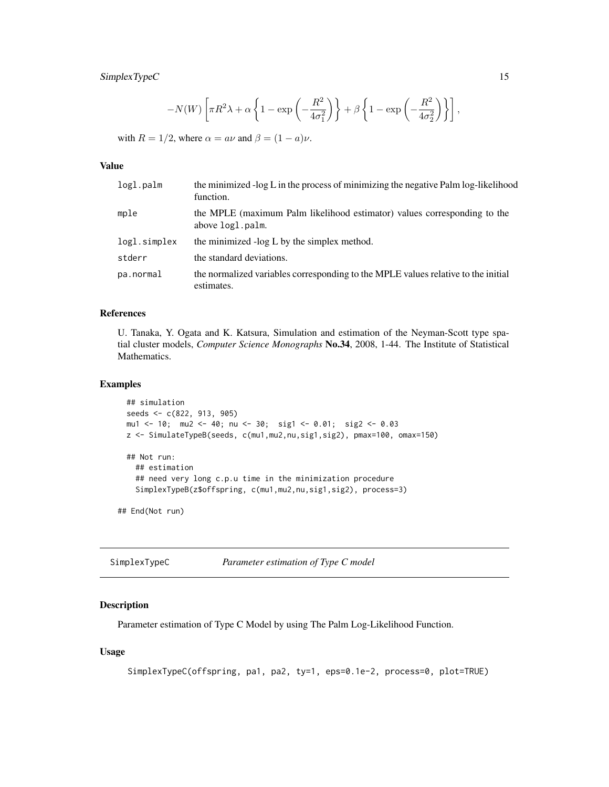# <span id="page-14-0"></span>SimplexTypeC 15

$$
-N(W)\left[\pi R^2\lambda+\alpha\left\{1-\exp\left(-\frac{R^2}{4\sigma_1^2}\right)\right\}+\beta\left\{1-\exp\left(-\frac{R^2}{4\sigma_2^2}\right)\right\}\right],
$$

with  $R = 1/2$ , where  $\alpha = a\nu$  and  $\beta = (1 - a)\nu$ .

### Value

| logl.palm    | the minimized -log L in the process of minimizing the negative Palm log-likelihood<br>function. |
|--------------|-------------------------------------------------------------------------------------------------|
| mple         | the MPLE (maximum Palm likelihood estimator) values corresponding to the<br>above logl.palm.    |
| logl.simplex | the minimized -log L by the simplex method.                                                     |
| stderr       | the standard deviations.                                                                        |
| pa.normal    | the normalized variables corresponding to the MPLE values relative to the initial<br>estimates. |

# References

U. Tanaka, Y. Ogata and K. Katsura, Simulation and estimation of the Neyman-Scott type spatial cluster models, *Computer Science Monographs* No.34, 2008, 1-44. The Institute of Statistical Mathematics.

# Examples

```
## simulation
seeds <- c(822, 913, 905)
mu1 <- 10; mu2 <- 40; nu <- 30; sig1 <- 0.01; sig2 <- 0.03
z <- SimulateTypeB(seeds, c(mu1,mu2,nu,sig1,sig2), pmax=100, omax=150)
## Not run:
  ## estimation
  ## need very long c.p.u time in the minimization procedure
  SimplexTypeB(z$offspring, c(mu1,mu2,nu,sig1,sig2), process=3)
```
## End(Not run)

<span id="page-14-1"></span>SimplexTypeC *Parameter estimation of Type C model*

# Description

Parameter estimation of Type C Model by using The Palm Log-Likelihood Function.

# Usage

```
SimplexTypeC(offspring, pa1, pa2, ty=1, eps=0.1e-2, process=0, plot=TRUE)
```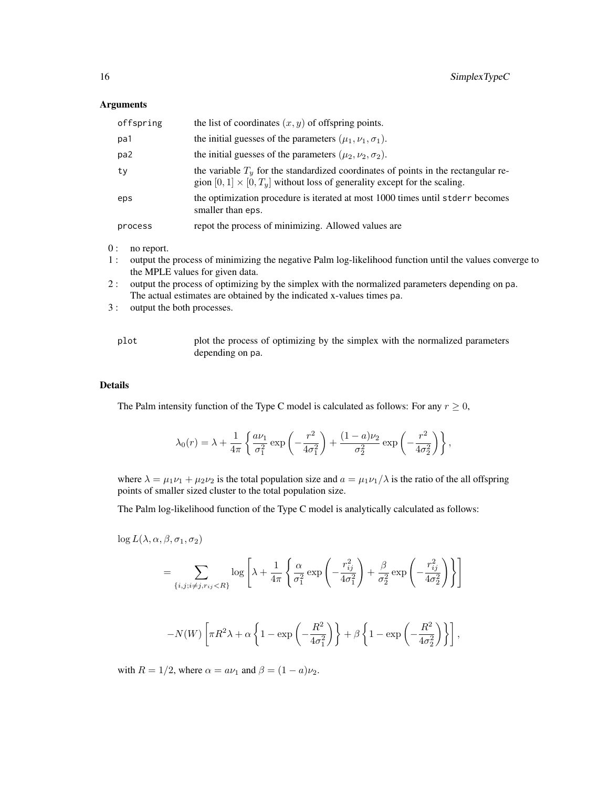#### Arguments

| offspring | the list of coordinates $(x, y)$ of offspring points.                                                                                                                    |
|-----------|--------------------------------------------------------------------------------------------------------------------------------------------------------------------------|
| pa1       | the initial guesses of the parameters $(\mu_1, \nu_1, \sigma_1)$ .                                                                                                       |
| pa2       | the initial guesses of the parameters $(\mu_2, \nu_2, \sigma_2)$ .                                                                                                       |
| ty        | the variable $T_u$ for the standardized coordinates of points in the rectangular re-<br>gion $[0, 1] \times [0, T_y]$ without loss of generality except for the scaling. |
| eps       | the optimization procedure is iterated at most 1000 times until stderr becomes<br>smaller than eps.                                                                      |
| process   | repot the process of minimizing. Allowed values are                                                                                                                      |

- 0 : no report.
- 1 : output the process of minimizing the negative Palm log-likelihood function until the values converge to the MPLE values for given data.
- 2 : output the process of optimizing by the simplex with the normalized parameters depending on pa. The actual estimates are obtained by the indicated x-values times pa.
- 3 : output the both processes.

| plot | plot the process of optimizing by the simplex with the normalized parameters |
|------|------------------------------------------------------------------------------|
|      | depending on pa.                                                             |

# Details

The Palm intensity function of the Type C model is calculated as follows: For any  $r \geq 0$ ,

$$
\lambda_0(r)=\lambda+\frac{1}{4\pi}\left\{\frac{a\nu_1}{\sigma_1^2}\exp\left(-\frac{r^2}{4\sigma_1^2}\right)+\frac{(1-a)\nu_2}{\sigma_2^2}\exp\left(-\frac{r^2}{4\sigma_2^2}\right)\right\},
$$

where  $\lambda = \mu_1 \nu_1 + \mu_2 \nu_2$  is the total population size and  $a = \mu_1 \nu_1 / \lambda$  is the ratio of the all offspring points of smaller sized cluster to the total population size.

The Palm log-likelihood function of the Type C model is analytically calculated as follows:

 $\log L(\lambda, \alpha, \beta, \sigma_1, \sigma_2)$ 

$$
= \sum_{\{i,j;i\neq j,r_{ij} < R\}} \log \left[ \lambda + \frac{1}{4\pi} \left\{ \frac{\alpha}{\sigma_1^2} \exp\left( -\frac{r_{ij}^2}{4\sigma_1^2} \right) + \frac{\beta}{\sigma_2^2} \exp\left( -\frac{r_{ij}^2}{4\sigma_2^2} \right) \right\} \right]
$$

$$
-N(W)\left[\pi R^2\lambda + \alpha \left\{1 - \exp\left(-\frac{R^2}{4\sigma_1^2}\right)\right\} + \beta \left\{1 - \exp\left(-\frac{R^2}{4\sigma_2^2}\right)\right\}\right],
$$

with  $R = 1/2$ , where  $\alpha = a\nu_1$  and  $\beta = (1 - a)\nu_2$ .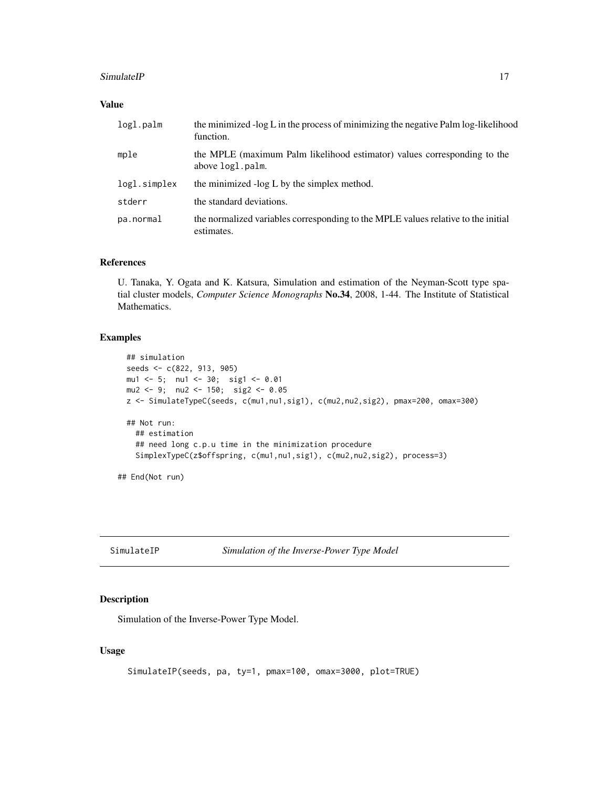#### <span id="page-16-0"></span>SimulateIP 17

# Value

| logl.palm    | the minimized -log L in the process of minimizing the negative Palm log-likelihood<br>function. |
|--------------|-------------------------------------------------------------------------------------------------|
| mple         | the MPLE (maximum Palm likelihood estimator) values corresponding to the<br>above logl.palm.    |
| logl.simplex | the minimized -log L by the simplex method.                                                     |
| stderr       | the standard deviations.                                                                        |
| pa.normal    | the normalized variables corresponding to the MPLE values relative to the initial<br>estimates. |

# References

U. Tanaka, Y. Ogata and K. Katsura, Simulation and estimation of the Neyman-Scott type spatial cluster models, *Computer Science Monographs* No.34, 2008, 1-44. The Institute of Statistical Mathematics.

# Examples

```
## simulation
 seeds <- c(822, 913, 905)
 mu1 <- 5; nu1 <- 30; sig1 <- 0.01
 mu2 <- 9; nu2 <- 150; sig2 <- 0.05
 z <- SimulateTypeC(seeds, c(mu1,nu1,sig1), c(mu2,nu2,sig2), pmax=200, omax=300)
 ## Not run:
    ## estimation
   ## need long c.p.u time in the minimization procedure
   SimplexTypeC(z$offspring, c(mu1,nu1,sig1), c(mu2,nu2,sig2), process=3)
## End(Not run)
```
<span id="page-16-1"></span>

SimulateIP *Simulation of the Inverse-Power Type Model*

# Description

Simulation of the Inverse-Power Type Model.

# Usage

```
SimulateIP(seeds, pa, ty=1, pmax=100, omax=3000, plot=TRUE)
```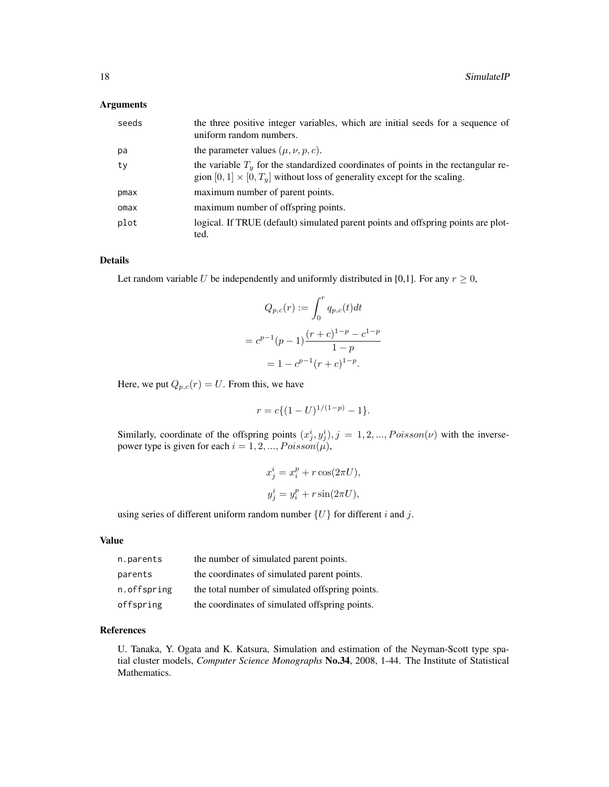#### Arguments

| seeds | the three positive integer variables, which are initial seeds for a sequence of<br>uniform random numbers.                                                              |
|-------|-------------------------------------------------------------------------------------------------------------------------------------------------------------------------|
| рa    | the parameter values $(\mu, \nu, p, c)$ .                                                                                                                               |
| tv    | the variable $Ty$ for the standardized coordinates of points in the rectangular re-<br>gion $[0, 1] \times [0, T_u]$ without loss of generality except for the scaling. |
| pmax  | maximum number of parent points.                                                                                                                                        |
| omax  | maximum number of offspring points.                                                                                                                                     |
| plot  | logical. If TRUE (default) simulated parent points and offspring points are plot-<br>ted.                                                                               |

# Details

Let random variable U be independently and uniformly distributed in [0,1]. For any  $r \geq 0$ ,

$$
Q_{p,c}(r) := \int_0^r q_{p,c}(t)dt
$$
  
=  $c^{p-1}(p-1)\frac{(r+c)^{1-p} - c^{1-p}}{1-p}$   
=  $1 - c^{p-1}(r+c)^{1-p}$ .

Here, we put  $Q_{p,c}(r) = U$ . From this, we have

$$
r = c \{ (1 - U)^{1/(1-p)} - 1 \}.
$$

Similarly, coordinate of the offspring points  $(x_j^i, y_j^i)$ ,  $j = 1, 2, ..., Poisson(v)$  with the inversepower type is given for each  $i = 1, 2, ..., Poisson(\mu)$ ,

$$
x_j^i = x_i^p + r \cos(2\pi U),
$$
  

$$
y_j^i = y_i^p + r \sin(2\pi U),
$$

using series of different uniform random number  $\{U\}$  for different i and j.

#### Value

| n.parents   | the number of simulated parent points.          |
|-------------|-------------------------------------------------|
| parents     | the coordinates of simulated parent points.     |
| n.offspring | the total number of simulated offspring points. |
| offspring   | the coordinates of simulated offspring points.  |

# References

U. Tanaka, Y. Ogata and K. Katsura, Simulation and estimation of the Neyman-Scott type spatial cluster models, *Computer Science Monographs* No.34, 2008, 1-44. The Institute of Statistical Mathematics.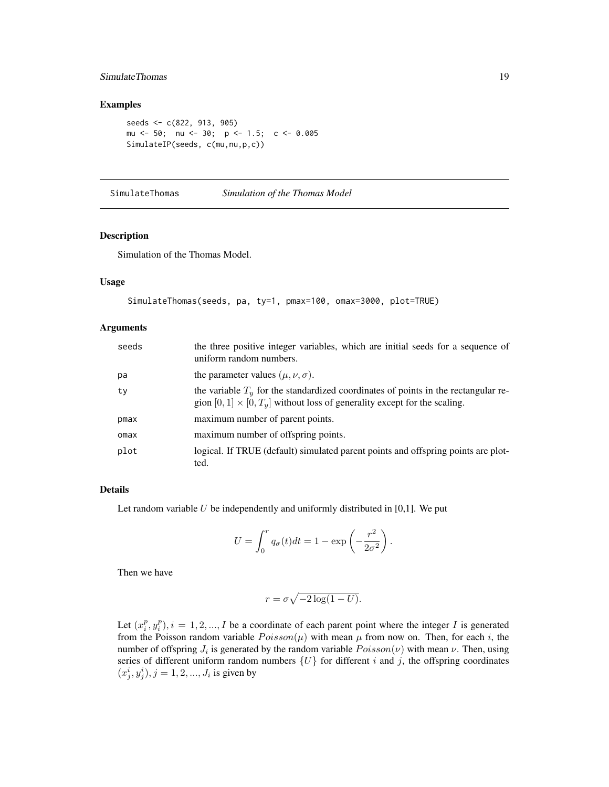# <span id="page-18-0"></span>SimulateThomas 19

# Examples

```
seeds <- c(822, 913, 905)
mu <- 50; nu <- 30; p <- 1.5; c <- 0.005
SimulateIP(seeds, c(mu,nu,p,c))
```
<span id="page-18-1"></span>SimulateThomas *Simulation of the Thomas Model*

# Description

Simulation of the Thomas Model.

#### Usage

```
SimulateThomas(seeds, pa, ty=1, pmax=100, omax=3000, plot=TRUE)
```
#### Arguments

| seeds | the three positive integer variables, which are initial seeds for a sequence of<br>uniform random numbers.                                                              |
|-------|-------------------------------------------------------------------------------------------------------------------------------------------------------------------------|
| pa    | the parameter values ( $\mu$ , $\nu$ , $\sigma$ ).                                                                                                                      |
| ty    | the variable $Ty$ for the standardized coordinates of points in the rectangular re-<br>gion $[0, 1] \times [0, T_y]$ without loss of generality except for the scaling. |
| pmax  | maximum number of parent points.                                                                                                                                        |
| omax  | maximum number of offspring points.                                                                                                                                     |
| plot  | logical. If TRUE (default) simulated parent points and offspring points are plot-<br>ted.                                                                               |

#### Details

Let random variable  $U$  be independently and uniformly distributed in [0,1]. We put

$$
U = \int_0^r q_\sigma(t)dt = 1 - \exp\left(-\frac{r^2}{2\sigma^2}\right).
$$

Then we have

$$
r = \sigma \sqrt{-2\log(1-U)}.
$$

Let  $(x_i^p, y_i^p), i = 1, 2, ..., I$  be a coordinate of each parent point where the integer I is generated from the Poisson random variable  $Poisson(\mu)$  with mean  $\mu$  from now on. Then, for each i, the number of offspring  $J_i$  is generated by the random variable  $Poisson(\nu)$  with mean  $\nu$ . Then, using series of different uniform random numbers  $\{U\}$  for different i and j, the offspring coordinates  $(x_j^i, y_j^i), j = 1, 2, ..., J_i$  is given by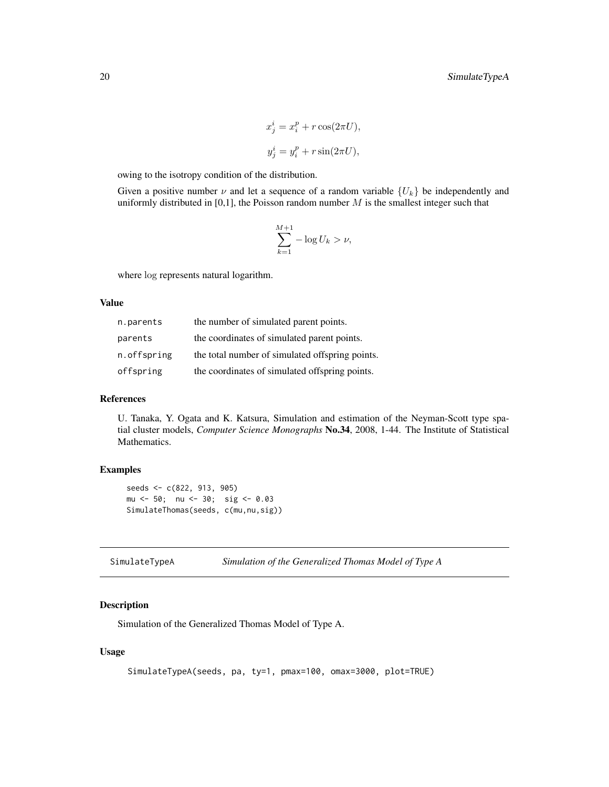$$
x_j^i = x_i^p + r \cos(2\pi U),
$$
  

$$
y_j^i = y_i^p + r \sin(2\pi U),
$$

<span id="page-19-0"></span>owing to the isotropy condition of the distribution.

Given a positive number  $\nu$  and let a sequence of a random variable  $\{U_k\}$  be independently and uniformly distributed in [0,1], the Poisson random number  $M$  is the smallest integer such that

$$
\sum_{k=1}^{M+1} -\log U_k > \nu,
$$

where log represents natural logarithm.

#### Value

| n.parents   | the number of simulated parent points.          |
|-------------|-------------------------------------------------|
| parents     | the coordinates of simulated parent points.     |
| n.offspring | the total number of simulated offspring points. |
| offspring   | the coordinates of simulated offspring points.  |

# References

U. Tanaka, Y. Ogata and K. Katsura, Simulation and estimation of the Neyman-Scott type spatial cluster models, *Computer Science Monographs* No.34, 2008, 1-44. The Institute of Statistical Mathematics.

# Examples

```
seeds <- c(822, 913, 905)
mu <- 50; nu <- 30; sig <- 0.03
SimulateThomas(seeds, c(mu,nu,sig))
```
<span id="page-19-1"></span>SimulateTypeA *Simulation of the Generalized Thomas Model of Type A*

# Description

Simulation of the Generalized Thomas Model of Type A.

# Usage

```
SimulateTypeA(seeds, pa, ty=1, pmax=100, omax=3000, plot=TRUE)
```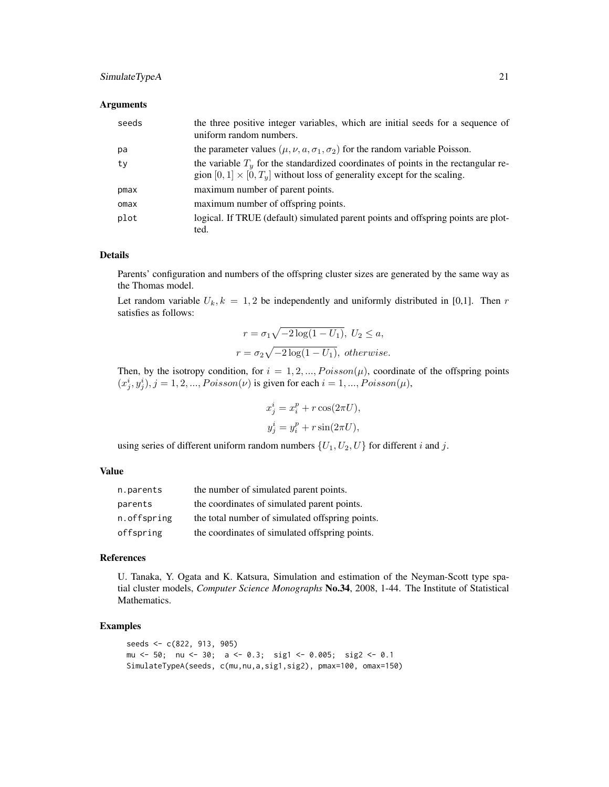# SimulateTypeA 21

#### **Arguments**

| seeds | the three positive integer variables, which are initial seeds for a sequence of<br>uniform random numbers.                                                              |
|-------|-------------------------------------------------------------------------------------------------------------------------------------------------------------------------|
| рa    | the parameter values ( $\mu$ , $\nu$ , $a$ , $\sigma$ <sub>1</sub> , $\sigma$ <sub>2</sub> ) for the random variable Poisson.                                           |
| ty    | the variable $Ty$ for the standardized coordinates of points in the rectangular re-<br>gion $[0, 1] \times [0, T_u]$ without loss of generality except for the scaling. |
| pmax  | maximum number of parent points.                                                                                                                                        |
| omax  | maximum number of offspring points.                                                                                                                                     |
| plot  | logical. If TRUE (default) simulated parent points and offspring points are plot-<br>ted.                                                                               |

#### Details

Parents' configuration and numbers of the offspring cluster sizes are generated by the same way as the Thomas model.

Let random variable  $U_k$ ,  $k = 1, 2$  be independently and uniformly distributed in [0,1]. Then r satisfies as follows:

$$
r = \sigma_1 \sqrt{-2 \log(1 - U_1)}, \ U_2 \le a,
$$
  

$$
r = \sigma_2 \sqrt{-2 \log(1 - U_1)}, \ otherwise.
$$

Then, by the isotropy condition, for  $i = 1, 2, ..., Poisson(\mu)$ , coordinate of the offspring points  $(x_j^i, y_j^i), j = 1, 2, ..., Poisson(\nu)$  is given for each  $i = 1, ..., Poisson(\mu)$ ,

$$
x_j^i = x_i^p + r \cos(2\pi U),
$$
  

$$
y_j^i = y_i^p + r \sin(2\pi U),
$$

using series of different uniform random numbers  $\{U_1, U_2, U\}$  for different i and j.

#### Value

| n.parents   | the number of simulated parent points.          |
|-------------|-------------------------------------------------|
| parents     | the coordinates of simulated parent points.     |
| n.offspring | the total number of simulated offspring points. |
| offspring   | the coordinates of simulated offspring points.  |

#### References

U. Tanaka, Y. Ogata and K. Katsura, Simulation and estimation of the Neyman-Scott type spatial cluster models, *Computer Science Monographs* No.34, 2008, 1-44. The Institute of Statistical Mathematics.

# Examples

```
seeds <- c(822, 913, 905)
mu <- 50; nu <- 30; a <- 0.3; sig1 <- 0.005; sig2 <- 0.1
SimulateTypeA(seeds, c(mu,nu,a,sig1,sig2), pmax=100, omax=150)
```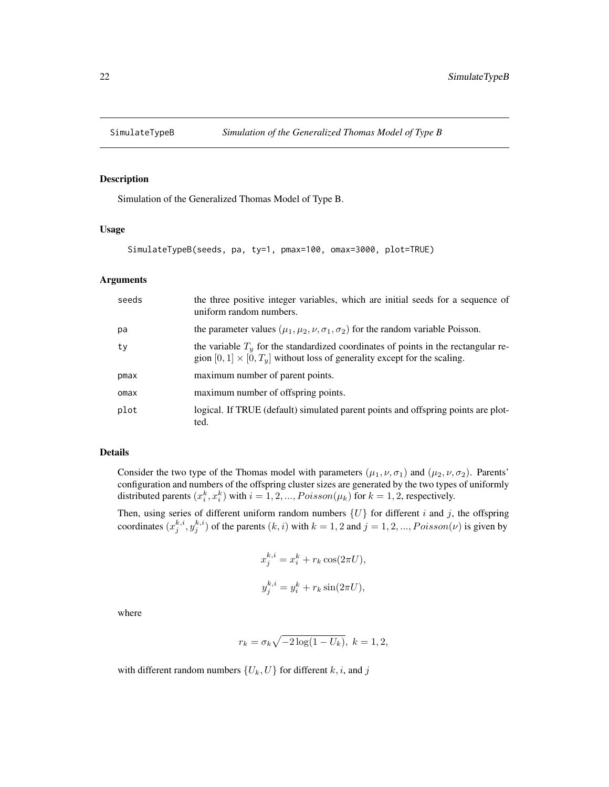<span id="page-21-1"></span><span id="page-21-0"></span>

# Description

Simulation of the Generalized Thomas Model of Type B.

# Usage

```
SimulateTypeB(seeds, pa, ty=1, pmax=100, omax=3000, plot=TRUE)
```
#### Arguments

| seeds | the three positive integer variables, which are initial seeds for a sequence of<br>uniform random numbers.                                                              |
|-------|-------------------------------------------------------------------------------------------------------------------------------------------------------------------------|
| pa    | the parameter values ( $\mu_1, \mu_2, \nu, \sigma_1, \sigma_2$ ) for the random variable Poisson.                                                                       |
| ty    | the variable $Ty$ for the standardized coordinates of points in the rectangular re-<br>gion $[0, 1] \times [0, T_u]$ without loss of generality except for the scaling. |
| pmax  | maximum number of parent points.                                                                                                                                        |
| omax  | maximum number of offspring points.                                                                                                                                     |
| plot  | logical. If TRUE (default) simulated parent points and offspring points are plot-<br>ted.                                                                               |

#### Details

Consider the two type of the Thomas model with parameters  $(\mu_1, \nu, \sigma_1)$  and  $(\mu_2, \nu, \sigma_2)$ . Parents' configuration and numbers of the offspring cluster sizes are generated by the two types of uniformly distributed parents  $(x_i^k, x_i^k)$  with  $i = 1, 2, ..., Poisson(\mu_k)$  for  $k = 1, 2$ , respectively.

Then, using series of different uniform random numbers  $\{U\}$  for different i and j, the offspring coordinates  $(x_j^{k,i}, y_j^{k,i})$  of the parents  $(k, i)$  with  $k = 1, 2$  and  $j = 1, 2, ..., Poisson(\nu)$  is given by

$$
x_j^{k,i} = x_i^k + r_k \cos(2\pi U),
$$
  

$$
y_j^{k,i} = y_i^k + r_k \sin(2\pi U),
$$

where

$$
r_k=\sigma_k\sqrt{-2\log(1-U_k)},\;k=1,2,
$$

with different random numbers  $\{U_k, U\}$  for different k, i, and j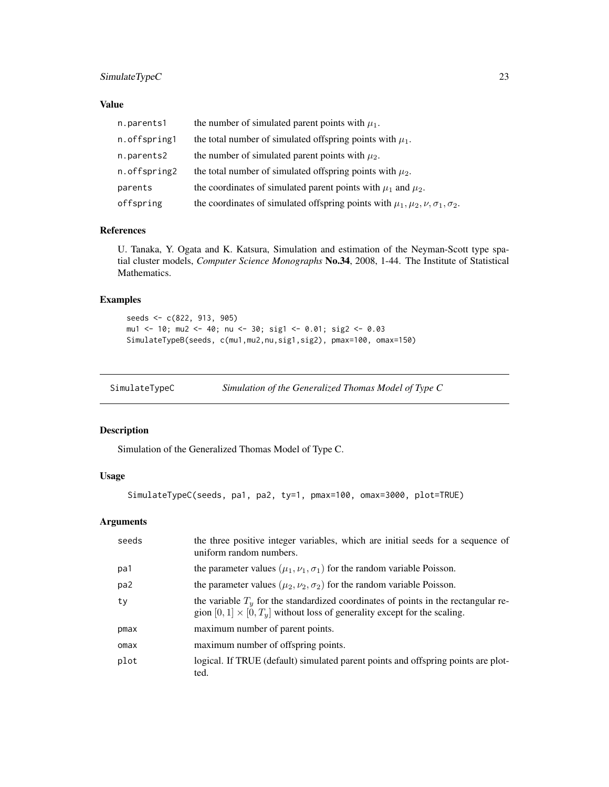# <span id="page-22-0"></span>SimulateTypeC 23

# Value

| n.parents1   | the number of simulated parent points with $\mu_1$ .                                         |
|--------------|----------------------------------------------------------------------------------------------|
| n.offspring1 | the total number of simulated offspring points with $\mu_1$ .                                |
| n.parents2   | the number of simulated parent points with $\mu_2$ .                                         |
| n.offspring2 | the total number of simulated offspring points with $\mu_2$ .                                |
| parents      | the coordinates of simulated parent points with $\mu_1$ and $\mu_2$ .                        |
| offspring    | the coordinates of simulated offspring points with $\mu_1, \mu_2, \nu, \sigma_1, \sigma_2$ . |

# References

U. Tanaka, Y. Ogata and K. Katsura, Simulation and estimation of the Neyman-Scott type spatial cluster models, *Computer Science Monographs* No.34, 2008, 1-44. The Institute of Statistical Mathematics.

# Examples

```
seeds <- c(822, 913, 905)
mu1 <- 10; mu2 <- 40; nu <- 30; sig1 <- 0.01; sig2 <- 0.03
SimulateTypeB(seeds, c(mu1,mu2,nu,sig1,sig2), pmax=100, omax=150)
```
<span id="page-22-1"></span>SimulateTypeC *Simulation of the Generalized Thomas Model of Type C*

# Description

Simulation of the Generalized Thomas Model of Type C.

# Usage

SimulateTypeC(seeds, pa1, pa2, ty=1, pmax=100, omax=3000, plot=TRUE)

# Arguments

| seeds | the three positive integer variables, which are initial seeds for a sequence of<br>uniform random numbers.                                                              |
|-------|-------------------------------------------------------------------------------------------------------------------------------------------------------------------------|
| pa1   | the parameter values $(\mu_1, \nu_1, \sigma_1)$ for the random variable Poisson.                                                                                        |
| pa2   | the parameter values ( $\mu_2, \nu_2, \sigma_2$ ) for the random variable Poisson.                                                                                      |
| ty    | the variable $Ty$ for the standardized coordinates of points in the rectangular re-<br>gion $[0, 1] \times [0, T_u]$ without loss of generality except for the scaling. |
| pmax  | maximum number of parent points.                                                                                                                                        |
| omax  | maximum number of offspring points.                                                                                                                                     |
| plot  | logical. If TRUE (default) simulated parent points and offspring points are plot-<br>ted.                                                                               |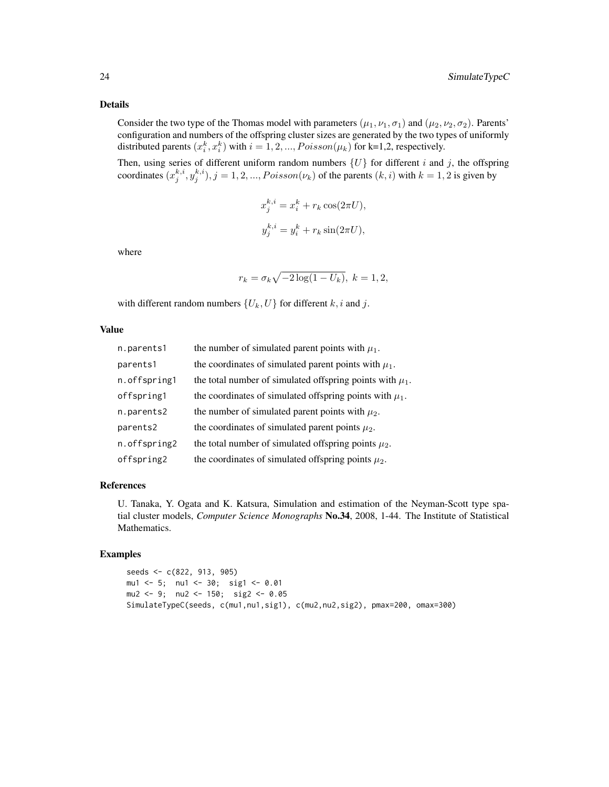# Details

Consider the two type of the Thomas model with parameters  $(\mu_1, \nu_1, \sigma_1)$  and  $(\mu_2, \nu_2, \sigma_2)$ . Parents' configuration and numbers of the offspring cluster sizes are generated by the two types of uniformly distributed parents  $(x_i^k, x_i^k)$  with  $i = 1, 2, ..., Poisson(\mu_k)$  for k=1,2, respectively.

Then, using series of different uniform random numbers  $\{U\}$  for different i and j, the offspring coordinates  $(x_j^{k,i}, y_j^{k,i})$ ,  $j = 1, 2, ..., Poisson(\nu_k)$  of the parents  $(k, i)$  with  $k = 1, 2$  is given by

$$
x_j^{k,i} = x_i^k + r_k \cos(2\pi U),
$$
  

$$
y_j^{k,i} = y_i^k + r_k \sin(2\pi U),
$$

where

$$
r_k = \sigma_k \sqrt{-2\log(1 - U_k)}, \ k = 1, 2,
$$

with different random numbers  $\{U_k, U\}$  for different  $k, i$  and  $j$ .

#### Value

| n.parents1   | the number of simulated parent points with $\mu_1$ .          |
|--------------|---------------------------------------------------------------|
| parents1     | the coordinates of simulated parent points with $\mu_1$ .     |
| n.offspring1 | the total number of simulated offspring points with $\mu_1$ . |
| offspring1   | the coordinates of simulated offspring points with $\mu_1$ .  |
| n.parents2   | the number of simulated parent points with $\mu_2$ .          |
| parents2     | the coordinates of simulated parent points $\mu_2$ .          |
| n.offspring2 | the total number of simulated offspring points $\mu_2$ .      |
| offspring2   | the coordinates of simulated offspring points $\mu_2$ .       |

# References

U. Tanaka, Y. Ogata and K. Katsura, Simulation and estimation of the Neyman-Scott type spatial cluster models, *Computer Science Monographs* No.34, 2008, 1-44. The Institute of Statistical Mathematics.

#### Examples

seeds <- c(822, 913, 905) mu1 <- 5; nu1 <- 30; sig1 <- 0.01 mu2 <- 9; nu2 <- 150; sig2 <- 0.05 SimulateTypeC(seeds, c(mu1,nu1,sig1), c(mu2,nu2,sig2), pmax=200, omax=300)